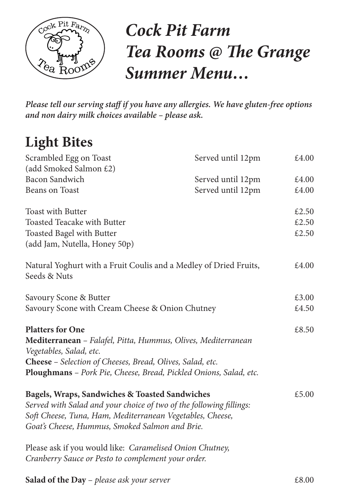

# *Cock Pit Farm Tea Rooms @ The Grange Summer Menu…*

*Please tell our serving staff if you have any allergies. We have gluten-free options and non dairy milk choices available – please ask.* 

## **Light Bites**

| £4.00<br>£4.00 |
|----------------|
|                |
|                |
|                |
| £2.50          |
| £2.50          |
| £2.50          |
|                |
| £4.00          |
|                |
| £3.00          |
| £4.50          |
|                |
| £8.50          |
|                |
|                |
|                |
|                |
| £5.00          |
|                |
|                |
|                |
|                |
|                |
|                |
|                |